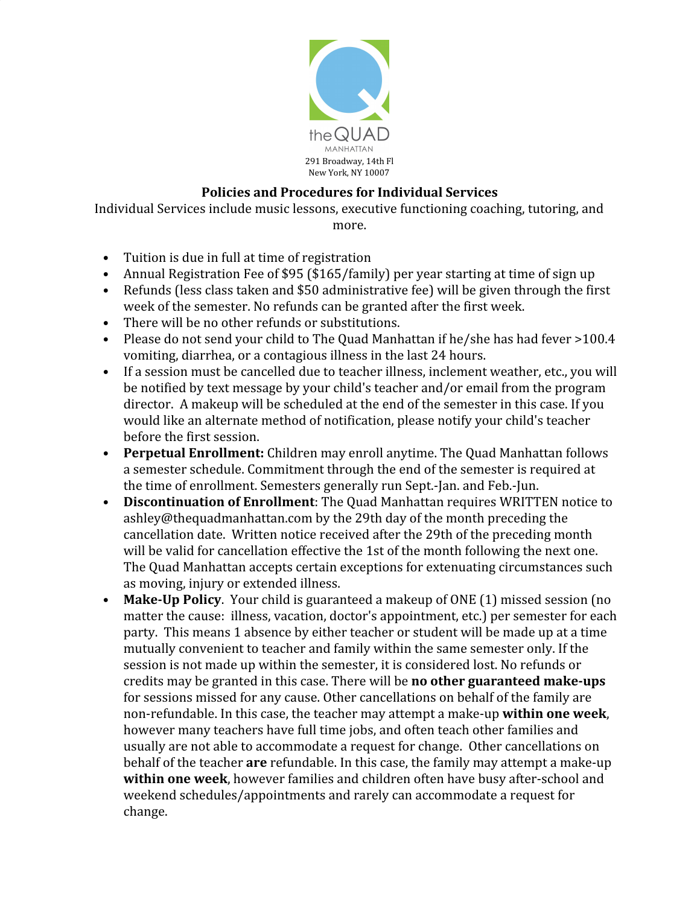

## **Policies and Procedures for Individual Services**

Individual Services include music lessons, executive functioning coaching, tutoring, and more.

- Tuition is due in full at time of registration
- Annual Registration Fee of \$95 (\$165/family) per year starting at time of sign up
- Refunds (less class taken and \$50 administrative fee) will be given through the first week of the semester. No refunds can be granted after the first week.
- There will be no other refunds or substitutions.
- Please do not send your child to The Quad Manhattan if he/she has had fever >100.4 vomiting, diarrhea, or a contagious illness in the last 24 hours.
- If a session must be cancelled due to teacher illness, inclement weather, etc., you will be notified by text message by your child's teacher and/or email from the program director. A makeup will be scheduled at the end of the semester in this case. If you would like an alternate method of notification, please notify your child's teacher before the first session.
- **Perpetual Enrollment:** Children may enroll anytime. The Quad Manhattan follows a semester schedule. Commitment through the end of the semester is required at the time of enrollment. Semesters generally run Sept.-Jan. and Feb.-Jun.
- **Discontinuation of Enrollment**: The Quad Manhattan requires WRITTEN notice to ashley@thequadmanhattan.com by the 29th day of the month preceding the cancellation date. Written notice received after the 29th of the preceding month will be valid for cancellation effective the 1st of the month following the next one. The Quad Manhattan accepts certain exceptions for extenuating circumstances such as moving, injury or extended illness.
- **Make-Up Policy**. Your child is guaranteed a makeup of ONE (1) missed session (no matter the cause: illness, vacation, doctor's appointment, etc.) per semester for each party. This means 1 absence by either teacher or student will be made up at a time mutually convenient to teacher and family within the same semester only. If the session is not made up within the semester, it is considered lost. No refunds or credits may be granted in this case. There will be **no other guaranteed make-ups** for sessions missed for any cause. Other cancellations on behalf of the family are non-refundable. In this case, the teacher may attempt a make-up **within one week**, however many teachers have full time jobs, and often teach other families and usually are not able to accommodate a request for change. Other cancellations on behalf of the teacher **are** refundable. In this case, the family may attempt a make-up **within one week**, however families and children often have busy after-school and weekend schedules/appointments and rarely can accommodate a request for change.